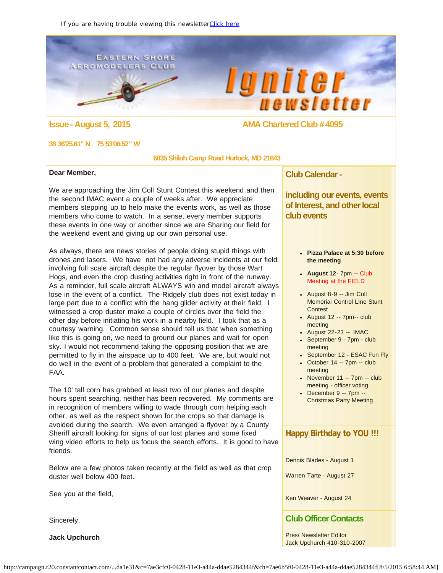### <span id="page-0-0"></span>**EASTERN SHORE AEROMODELERS CLUB**





**Issue - August 5, 2015** AMA Chartered Club # 4095

#### **38 36'25.61" N 75 53'06.52" W**

 **6035 Shiloh Camp Road Hurlock, MD 21643**

#### **Dear Member,**

We are approaching the Jim Coll Stunt Contest this weekend and then the second IMAC event a couple of weeks after. We appreciate members stepping up to help make the events work, as well as those members who come to watch. In a sense, every member supports these events in one way or another since we are Sharing our field for the weekend event and giving up our own personal use.

As always, there are news stories of people doing stupid things with drones and lasers. We have not had any adverse incidents at our field involving full scale aircraft despite the regular flyover by those Wart Hogs, and even the crop dusting activities right in front of the runway. As a reminder, full scale aircraft ALWAYS win and model aircraft always lose in the event of a conflict. The Ridgely club does not exist today in large part due to a conflict with the hang glider activity at their field. I witnessed a crop duster make a couple of circles over the field the other day before initiating his work in a nearby field. I took that as a courtesy warning. Common sense should tell us that when something like this is going on, we need to ground our planes and wait for open sky. I would not recommend taking the opposing position that we are permitted to fly in the airspace up to 400 feet. We are, but would not do well in the event of a problem that generated a complaint to the FAA.

The 10' tall corn has grabbed at least two of our planes and despite hours spent searching, neither has been recovered. My comments are in recognition of members willing to wade through corn helping each other, as well as the respect shown for the crops so that damage is avoided during the search. We even arranged a flyover by a County Sheriff aircraft looking for signs of our lost planes and some fixed wing video efforts to help us focus the search efforts. It is good to have friends.

Below are a few photos taken recently at the field as well as that crop duster well below 400 feet.

See you at the field,

Sincerely,

**Jack Upchurch**

## **Club Calendar -**

**including our events, events of Interest, and other local club events**

- **Pizza Palace at 5:30 before the meeting**
- **August 12** 7pm -- Club Meeting at the FIELD
- August 8-9 -- Jim Coll Memorial Control LIne Stunt **Contest**
- August 12 -- 7pm-- club meeting
- August 22-23 -- IMAC
- September 9 7pm club meeting
- September 12 ESAC Fun Fly
- $\bullet$  October 14 -- 7pm -- club meeting
- $\bullet$  November 11 -- 7pm -- club meeting - officer voting
- December 9 -- 7pm -- Christmas Party Meeting

## **Happy Birthday to YOU !!!**

Dennis Blades - August 1

Warren Tarte - August 27

Ken Weaver - August 24

## **Club Officer Contacts**

Pres/ Newsletter Editor Jack Upchurch 410-310-2007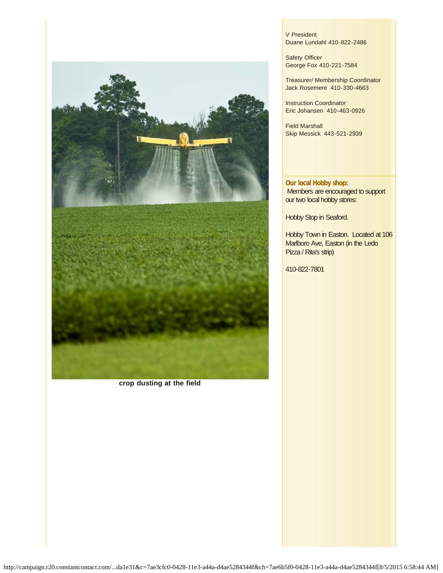

**crop dusting at the field**

V President Duane Lundahl 410-822-2486

Safety Officer George Fox 410-221-7584

Treasurer/ Membership Coordinator Jack Rosemere 410-330-4663

Instruction Coordinator Eric Johansen 410-463-0926

Field Marshall Skip Messick 443-521-2939

**Our local Hobby shop:** Members are encouraged to support our two local hobby stores:

Hobby Stop in Seaford.

Hobby Town in Easton. Located at 106 Marlboro Ave, Easton (in the Ledo Pizza / Rita's strip)

410-822-7801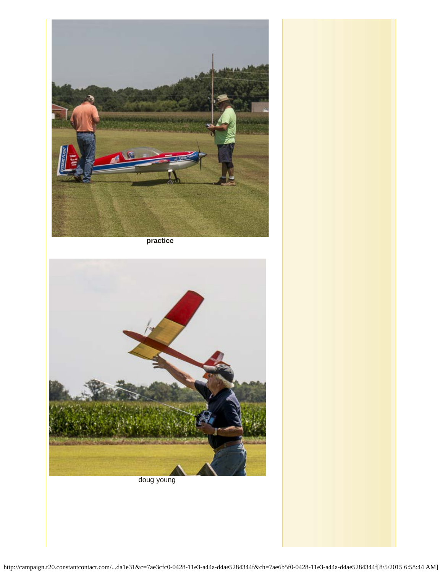

**practice**



doug young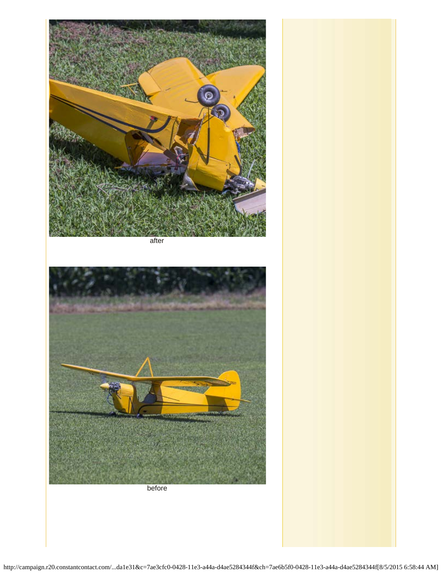

after

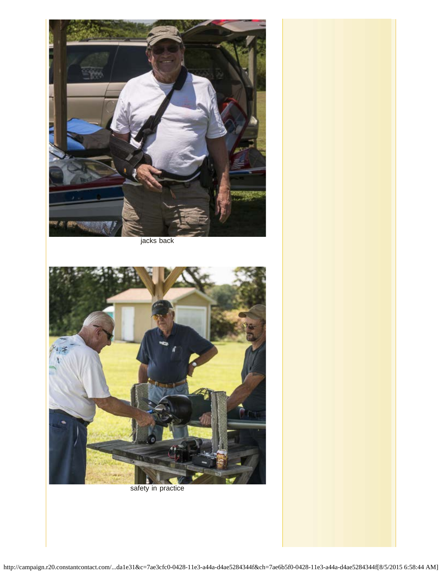

jacks back



safety in practice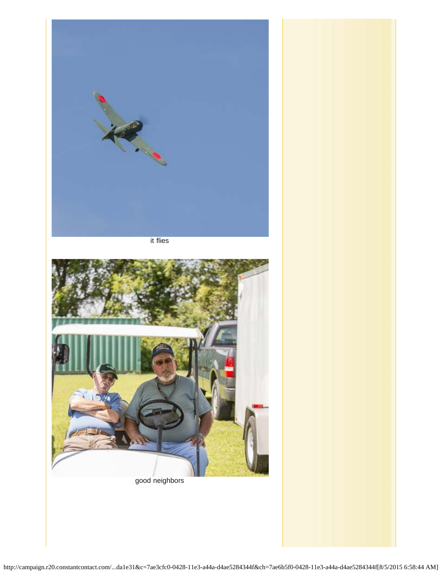

it flies



good neighbors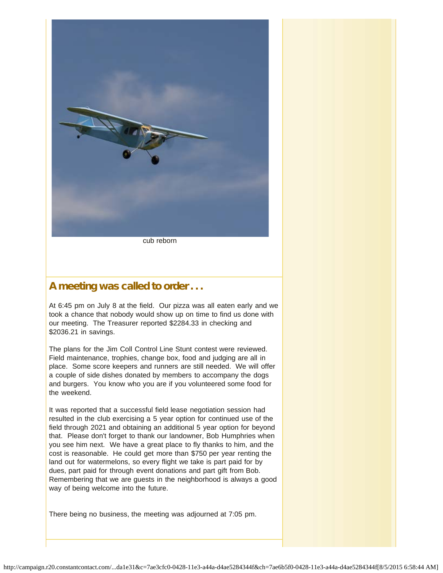

cub reborn

# A meeting was called to order . . .

At 6:45 pm on July 8 at the field. Our pizza was all eaten early and we took a chance that nobody would show up on time to find us done with our meeting. The Treasurer reported \$2284.33 in checking and \$2036.21 in savings.

The plans for the Jim Coll Control Line Stunt contest were reviewed. Field maintenance, trophies, change box, food and judging are all in place. Some score keepers and runners are still needed. We will offer a couple of side dishes donated by members to accompany the dogs and burgers. You know who you are if you volunteered some food for the weekend.

It was reported that a successful field lease negotiation session had resulted in the club exercising a 5 year option for continued use of the field through 2021 and obtaining an additional 5 year option for beyond that. Please don't forget to thank our landowner, Bob Humphries when you see him next. We have a great place to fly thanks to him, and the cost is reasonable. He could get more than \$750 per year renting the land out for watermelons, so every flight we take is part paid for by dues, part paid for through event donations and part gift from Bob. Remembering that we are guests in the neighborhood is always a good way of being welcome into the future.

There being no business, the meeting was adjourned at 7:05 pm.